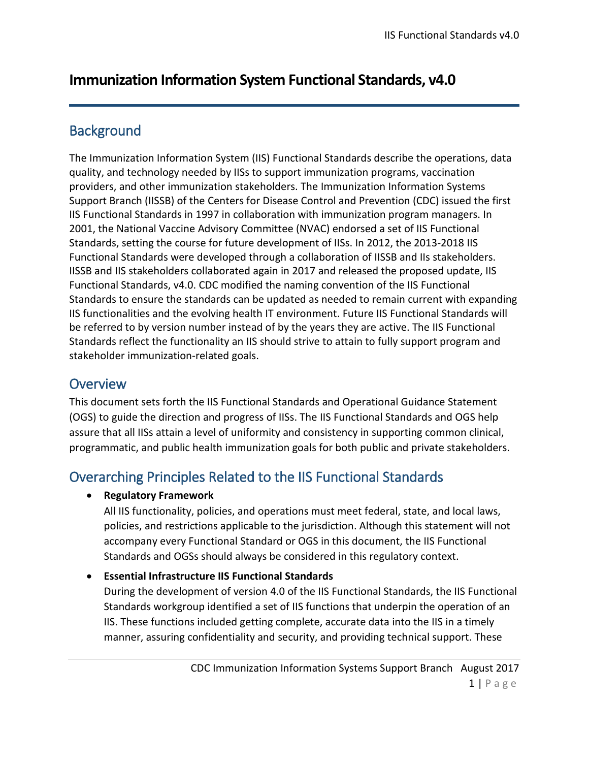# **Immunization Information System Functional Standards, v4.0**

### **Background**

The Immunization Information System (IIS) Functional Standards describe the operations, data quality, and technology needed by IISs to support immunization programs, vaccination providers, and other immunization stakeholders. The Immunization Information Systems Support Branch (IISSB) of the Centers for Disease Control and Prevention (CDC) issued the first IIS Functional Standards in 1997 in collaboration with immunization program managers. In 2001, the National Vaccine Advisory Committee (NVAC) endorsed a set of IIS Functional Standards, setting the course for future development of IISs. In 2012, the 2013-2018 IIS Functional Standards were developed through a collaboration of IISSB and IIs stakeholders. IISSB and IIS stakeholders collaborated again in 2017 and released the proposed update, IIS Functional Standards, v4.0. CDC modified the naming convention of the IIS Functional Standards to ensure the standards can be updated as needed to remain current with expanding IIS functionalities and the evolving health IT environment. Future IIS Functional Standards will be referred to by version number instead of by the years they are active. The IIS Functional Standards reflect the functionality an IIS should strive to attain to fully support program and stakeholder immunization-related goals.

### **Overview**

This document sets forth the IIS Functional Standards and Operational Guidance Statement (OGS) to guide the direction and progress of IISs. The IIS Functional Standards and OGS help assure that all IISs attain a level of uniformity and consistency in supporting common clinical, programmatic, and public health immunization goals for both public and private stakeholders.

# Overarching Principles Related to the IIS Functional Standards

#### • **Regulatory Framework**

All IIS functionality, policies, and operations must meet federal, state, and local laws, policies, and restrictions applicable to the jurisdiction. Although this statement will not accompany every Functional Standard or OGS in this document, the IIS Functional Standards and OGSs should always be considered in this regulatory context.

#### • **Essential Infrastructure IIS Functional Standards**

During the development of version 4.0 of the IIS Functional Standards, the IIS Functional Standards workgroup identified a set of IIS functions that underpin the operation of an IIS. These functions included getting complete, accurate data into the IIS in a timely manner, assuring confidentiality and security, and providing technical support. These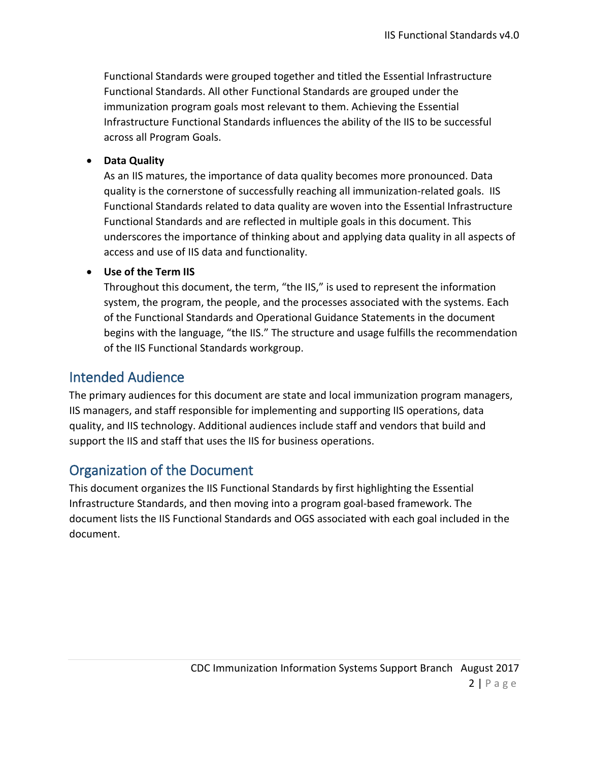Functional Standards were grouped together and titled the Essential Infrastructure Functional Standards. All other Functional Standards are grouped under the immunization program goals most relevant to them. Achieving the Essential Infrastructure Functional Standards influences the ability of the IIS to be successful across all Program Goals.

#### • **Data Quality**

As an IIS matures, the importance of data quality becomes more pronounced. Data quality is the cornerstone of successfully reaching all immunization-related goals. IIS Functional Standards related to data quality are woven into the Essential Infrastructure Functional Standards and are reflected in multiple goals in this document. This underscores the importance of thinking about and applying data quality in all aspects of access and use of IIS data and functionality.

#### • **Use of the Term IIS**

Throughout this document, the term, "the IIS," is used to represent the information system, the program, the people, and the processes associated with the systems. Each of the Functional Standards and Operational Guidance Statements in the document begins with the language, "the IIS." The structure and usage fulfills the recommendation of the IIS Functional Standards workgroup.

### Intended Audience

The primary audiences for this document are state and local immunization program managers, IIS managers, and staff responsible for implementing and supporting IIS operations, data quality, and IIS technology. Additional audiences include staff and vendors that build and support the IIS and staff that uses the IIS for business operations.

### Organization of the Document

This document organizes the IIS Functional Standards by first highlighting the Essential Infrastructure Standards, and then moving into a program goal-based framework. The document lists the IIS Functional Standards and OGS associated with each goal included in the document.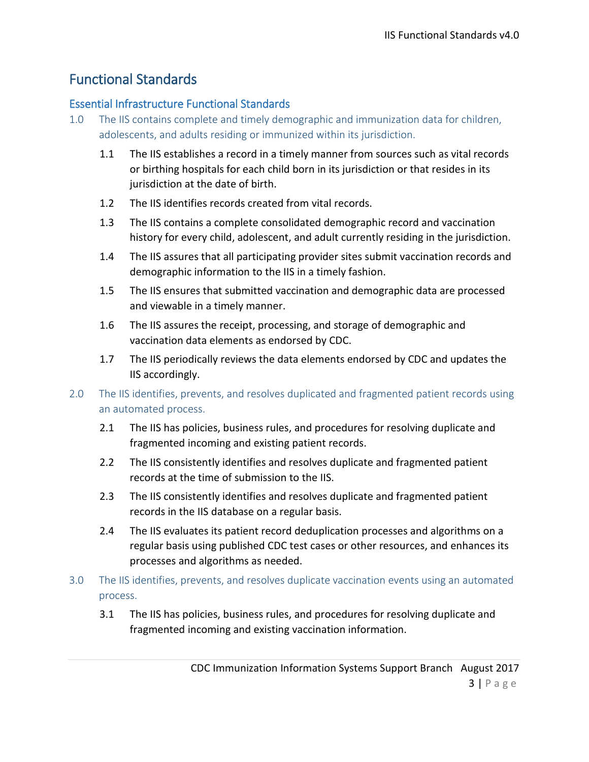## Functional Standards

#### Essential Infrastructure Functional Standards

- 1.0 The IIS contains complete and timely demographic and immunization data for children, adolescents, and adults residing or immunized within its jurisdiction.
	- 1.1 The IIS establishes a record in a timely manner from sources such as vital records or birthing hospitals for each child born in its jurisdiction or that resides in its jurisdiction at the date of birth.
	- 1.2 The IIS identifies records created from vital records.
	- 1.3 The IIS contains a complete consolidated demographic record and vaccination history for every child, adolescent, and adult currently residing in the jurisdiction.
	- 1.4 The IIS assures that all participating provider sites submit vaccination records and demographic information to the IIS in a timely fashion.
	- 1.5 The IIS ensures that submitted vaccination and demographic data are processed and viewable in a timely manner.
	- 1.6 The IIS assures the receipt, processing, and storage of demographic and vaccination data elements as endorsed by CDC.
	- 1.7 The IIS periodically reviews the data elements endorsed by CDC and updates the IIS accordingly.
- 2.0 The IIS identifies, prevents, and resolves duplicated and fragmented patient records using an automated process.
	- 2.1 The IIS has policies, business rules, and procedures for resolving duplicate and fragmented incoming and existing patient records.
	- 2.2 The IIS consistently identifies and resolves duplicate and fragmented patient records at the time of submission to the IIS.
	- 2.3 The IIS consistently identifies and resolves duplicate and fragmented patient records in the IIS database on a regular basis.
	- 2.4 The IIS evaluates its patient record deduplication processes and algorithms on a regular basis using published CDC test cases or other resources, and enhances its processes and algorithms as needed.
- 3.0 The IIS identifies, prevents, and resolves duplicate vaccination events using an automated process.
	- 3.1 The IIS has policies, business rules, and procedures for resolving duplicate and fragmented incoming and existing vaccination information.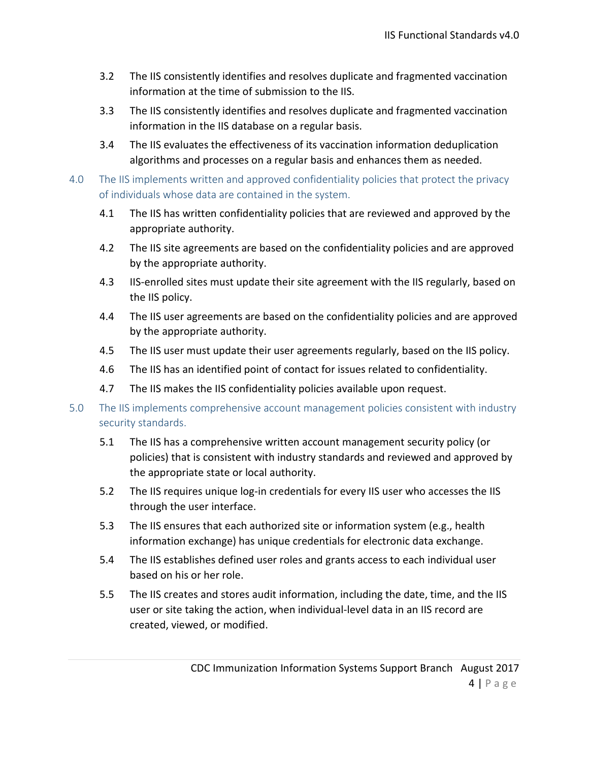- 3.2 The IIS consistently identifies and resolves duplicate and fragmented vaccination information at the time of submission to the IIS.
- 3.3 The IIS consistently identifies and resolves duplicate and fragmented vaccination information in the IIS database on a regular basis.
- 3.4 The IIS evaluates the effectiveness of its vaccination information deduplication algorithms and processes on a regular basis and enhances them as needed.
- 4.0 The IIS implements written and approved confidentiality policies that protect the privacy of individuals whose data are contained in the system.
	- 4.1 The IIS has written confidentiality policies that are reviewed and approved by the appropriate authority.
	- 4.2 The IIS site agreements are based on the confidentiality policies and are approved by the appropriate authority.
	- 4.3 IIS-enrolled sites must update their site agreement with the IIS regularly, based on the IIS policy.
	- 4.4 The IIS user agreements are based on the confidentiality policies and are approved by the appropriate authority.
	- 4.5 The IIS user must update their user agreements regularly, based on the IIS policy.
	- 4.6 The IIS has an identified point of contact for issues related to confidentiality.
	- 4.7 The IIS makes the IIS confidentiality policies available upon request.
- 5.0 The IIS implements comprehensive account management policies consistent with industry security standards.
	- 5.1 The IIS has a comprehensive written account management security policy (or policies) that is consistent with industry standards and reviewed and approved by the appropriate state or local authority.
	- 5.2 The IIS requires unique log-in credentials for every IIS user who accesses the IIS through the user interface.
	- 5.3 The IIS ensures that each authorized site or information system (e.g., health information exchange) has unique credentials for electronic data exchange.
	- 5.4 The IIS establishes defined user roles and grants access to each individual user based on his or her role.
	- 5.5 The IIS creates and stores audit information, including the date, time, and the IIS user or site taking the action, when individual-level data in an IIS record are created, viewed, or modified.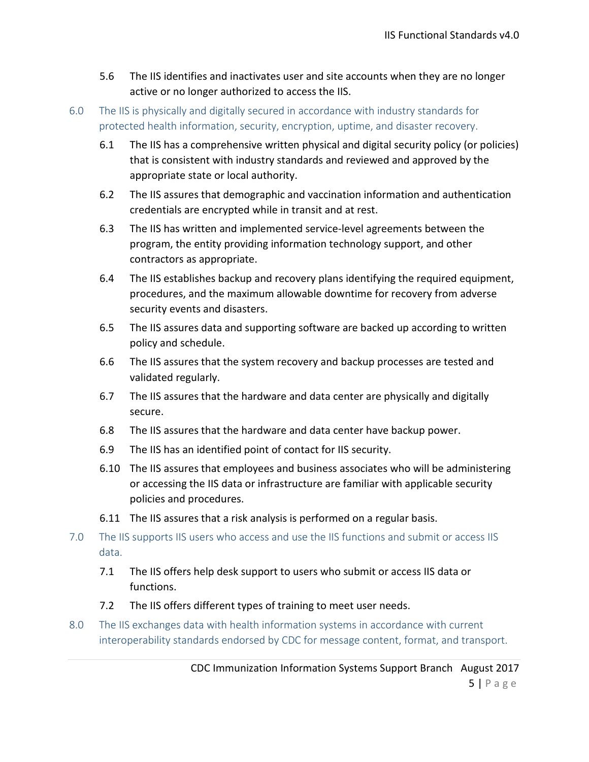- 5.6 The IIS identifies and inactivates user and site accounts when they are no longer active or no longer authorized to access the IIS.
- 6.0 The IIS is physically and digitally secured in accordance with industry standards for protected health information, security, encryption, uptime, and disaster recovery.
	- 6.1 The IIS has a comprehensive written physical and digital security policy (or policies) that is consistent with industry standards and reviewed and approved by the appropriate state or local authority.
	- 6.2 The IIS assures that demographic and vaccination information and authentication credentials are encrypted while in transit and at rest.
	- 6.3 The IIS has written and implemented service-level agreements between the program, the entity providing information technology support, and other contractors as appropriate.
	- 6.4 The IIS establishes backup and recovery plans identifying the required equipment, procedures, and the maximum allowable downtime for recovery from adverse security events and disasters.
	- 6.5 The IIS assures data and supporting software are backed up according to written policy and schedule.
	- 6.6 The IIS assures that the system recovery and backup processes are tested and validated regularly.
	- 6.7 The IIS assures that the hardware and data center are physically and digitally secure.
	- 6.8 The IIS assures that the hardware and data center have backup power.
	- 6.9 The IIS has an identified point of contact for IIS security.
	- 6.10 The IIS assures that employees and business associates who will be administering or accessing the IIS data or infrastructure are familiar with applicable security policies and procedures.
	- 6.11 The IIS assures that a risk analysis is performed on a regular basis.
- 7.0 The IIS supports IIS users who access and use the IIS functions and submit or access IIS data.
	- 7.1 The IIS offers help desk support to users who submit or access IIS data or functions.
	- 7.2 The IIS offers different types of training to meet user needs.
- 8.0 The IIS exchanges data with health information systems in accordance with current interoperability standards endorsed by CDC for message content, format, and transport.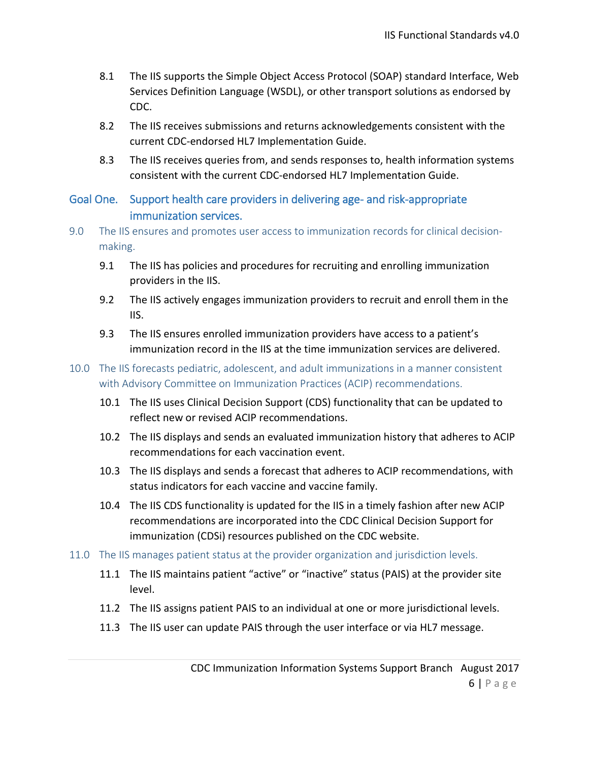- 8.1 The IIS supports the Simple Object Access Protocol (SOAP) standard Interface, Web Services Definition Language (WSDL), or other transport solutions as endorsed by CDC.
- 8.2 The IIS receives submissions and returns acknowledgements consistent with the current CDC-endorsed HL7 Implementation Guide.
- 8.3 The IIS receives queries from, and sends responses to, health information systems consistent with the current CDC-endorsed HL7 Implementation Guide.

### Goal One. Support health care providers in delivering age- and risk-appropriate immunization services.

- 9.0 The IIS ensures and promotes user access to immunization records for clinical decisionmaking.
	- 9.1 The IIS has policies and procedures for recruiting and enrolling immunization providers in the IIS.
	- 9.2 The IIS actively engages immunization providers to recruit and enroll them in the IIS.
	- 9.3 The IIS ensures enrolled immunization providers have access to a patient's immunization record in the IIS at the time immunization services are delivered.
- 10.0 The IIS forecasts pediatric, adolescent, and adult immunizations in a manner consistent with Advisory Committee on Immunization Practices (ACIP) recommendations.
	- 10.1 The IIS uses Clinical Decision Support (CDS) functionality that can be updated to reflect new or revised ACIP recommendations.
	- 10.2 The IIS displays and sends an evaluated immunization history that adheres to ACIP recommendations for each vaccination event.
	- 10.3 The IIS displays and sends a forecast that adheres to ACIP recommendations, with status indicators for each vaccine and vaccine family.
	- 10.4 The IIS CDS functionality is updated for the IIS in a timely fashion after new ACIP recommendations are incorporated into the CDC Clinical Decision Support for immunization (CDSi) resources published on the CDC website.
- 11.0 The IIS manages patient status at the provider organization and jurisdiction levels.
	- 11.1 The IIS maintains patient "active" or "inactive" status (PAIS) at the provider site level.
	- 11.2 The IIS assigns patient PAIS to an individual at one or more jurisdictional levels.
	- 11.3 The IIS user can update PAIS through the user interface or via HL7 message.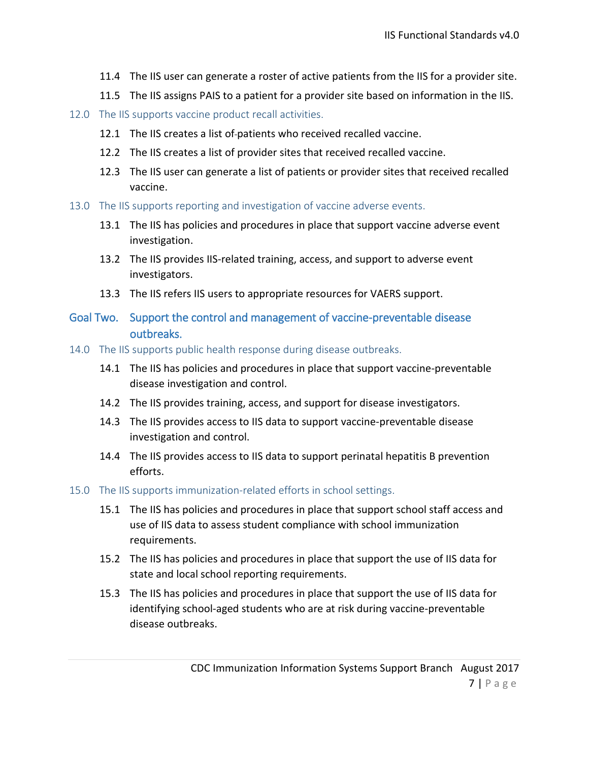- 11.4 The IIS user can generate a roster of active patients from the IIS for a provider site.
- 11.5 The IIS assigns PAIS to a patient for a provider site based on information in the IIS.
- 12.0 The IIS supports vaccine product recall activities.
	- 12.1 The IIS creates a list of patients who received recalled vaccine.
	- 12.2 The IIS creates a list of provider sites that received recalled vaccine.
	- 12.3 The IIS user can generate a list of patients or provider sites that received recalled vaccine.
- 13.0 The IIS supports reporting and investigation of vaccine adverse events.
	- 13.1 The IIS has policies and procedures in place that support vaccine adverse event investigation.
	- 13.2 The IIS provides IIS-related training, access, and support to adverse event investigators.
	- 13.3 The IIS refers IIS users to appropriate resources for VAERS support.
- Goal Two. Support the control and management of vaccine-preventable disease outbreaks.
- 14.0 The IIS supports public health response during disease outbreaks.
	- 14.1 The IIS has policies and procedures in place that support vaccine-preventable disease investigation and control.
	- 14.2 The IIS provides training, access, and support for disease investigators.
	- 14.3 The IIS provides access to IIS data to support vaccine-preventable disease investigation and control.
	- 14.4 The IIS provides access to IIS data to support perinatal hepatitis B prevention efforts.
- 15.0 The IIS supports immunization-related efforts in school settings.
	- 15.1 The IIS has policies and procedures in place that support school staff access and use of IIS data to assess student compliance with school immunization requirements.
	- 15.2 The IIS has policies and procedures in place that support the use of IIS data for state and local school reporting requirements.
	- 15.3 The IIS has policies and procedures in place that support the use of IIS data for identifying school-aged students who are at risk during vaccine-preventable disease outbreaks.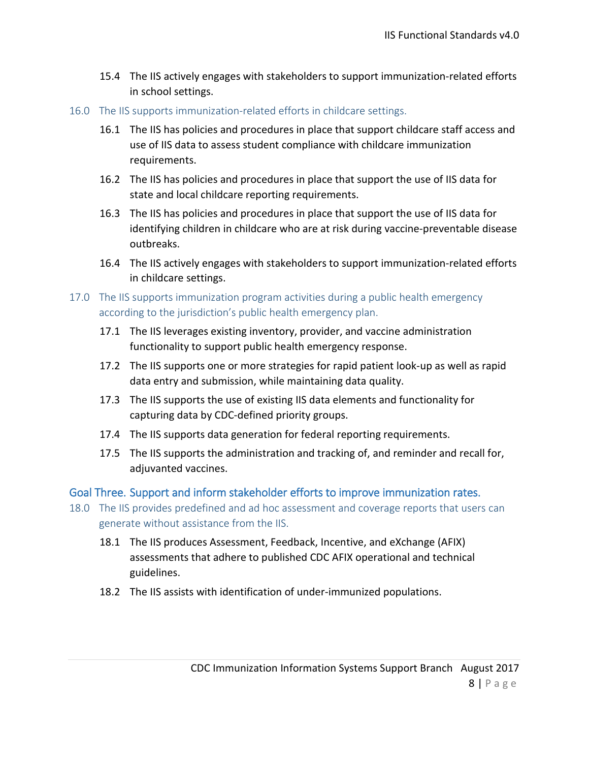- 15.4 The IIS actively engages with stakeholders to support immunization-related efforts in school settings.
- 16.0 The IIS supports immunization-related efforts in childcare settings.
	- 16.1 The IIS has policies and procedures in place that support childcare staff access and use of IIS data to assess student compliance with childcare immunization requirements.
	- 16.2 The IIS has policies and procedures in place that support the use of IIS data for state and local childcare reporting requirements.
	- 16.3 The IIS has policies and procedures in place that support the use of IIS data for identifying children in childcare who are at risk during vaccine-preventable disease outbreaks.
	- 16.4 The IIS actively engages with stakeholders to support immunization-related efforts in childcare settings.
- 17.0 The IIS supports immunization program activities during a public health emergency according to the jurisdiction's public health emergency plan.
	- 17.1 The IIS leverages existing inventory, provider, and vaccine administration functionality to support public health emergency response.
	- 17.2 The IIS supports one or more strategies for rapid patient look-up as well as rapid data entry and submission, while maintaining data quality.
	- 17.3 The IIS supports the use of existing IIS data elements and functionality for capturing data by CDC-defined priority groups.
	- 17.4 The IIS supports data generation for federal reporting requirements.
	- 17.5 The IIS supports the administration and tracking of, and reminder and recall for, adjuvanted vaccines.

Goal Three. Support and inform stakeholder efforts to improve immunization rates.

- 18.0 The IIS provides predefined and ad hoc assessment and coverage reports that users can generate without assistance from the IIS.
	- 18.1 The IIS produces Assessment, Feedback, Incentive, and eXchange (AFIX) assessments that adhere to published CDC AFIX operational and technical guidelines.
	- 18.2 The IIS assists with identification of under-immunized populations.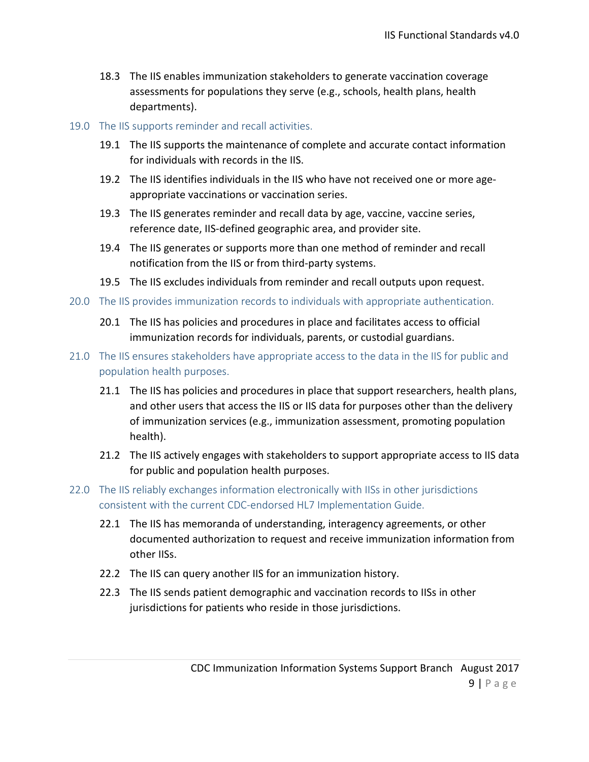- 18.3 The IIS enables immunization stakeholders to generate vaccination coverage assessments for populations they serve (e.g., schools, health plans, health departments).
- 19.0 The IIS supports reminder and recall activities.
	- 19.1 The IIS supports the maintenance of complete and accurate contact information for individuals with records in the IIS.
	- 19.2 The IIS identifies individuals in the IIS who have not received one or more ageappropriate vaccinations or vaccination series.
	- 19.3 The IIS generates reminder and recall data by age, vaccine, vaccine series, reference date, IIS-defined geographic area, and provider site.
	- 19.4 The IIS generates or supports more than one method of reminder and recall notification from the IIS or from third-party systems.
	- 19.5 The IIS excludes individuals from reminder and recall outputs upon request.
- 20.0 The IIS provides immunization records to individuals with appropriate authentication.
	- 20.1 The IIS has policies and procedures in place and facilitates access to official immunization records for individuals, parents, or custodial guardians.
- 21.0 The IIS ensures stakeholders have appropriate access to the data in the IIS for public and population health purposes.
	- 21.1 The IIS has policies and procedures in place that support researchers, health plans, and other users that access the IIS or IIS data for purposes other than the delivery of immunization services (e.g., immunization assessment, promoting population health).
	- 21.2 The IIS actively engages with stakeholders to support appropriate access to IIS data for public and population health purposes.
- 22.0 The IIS reliably exchanges information electronically with IISs in other jurisdictions consistent with the current CDC-endorsed HL7 Implementation Guide.
	- 22.1 The IIS has memoranda of understanding, interagency agreements, or other documented authorization to request and receive immunization information from other IISs.
	- 22.2 The IIS can query another IIS for an immunization history.
	- 22.3 The IIS sends patient demographic and vaccination records to IISs in other jurisdictions for patients who reside in those jurisdictions.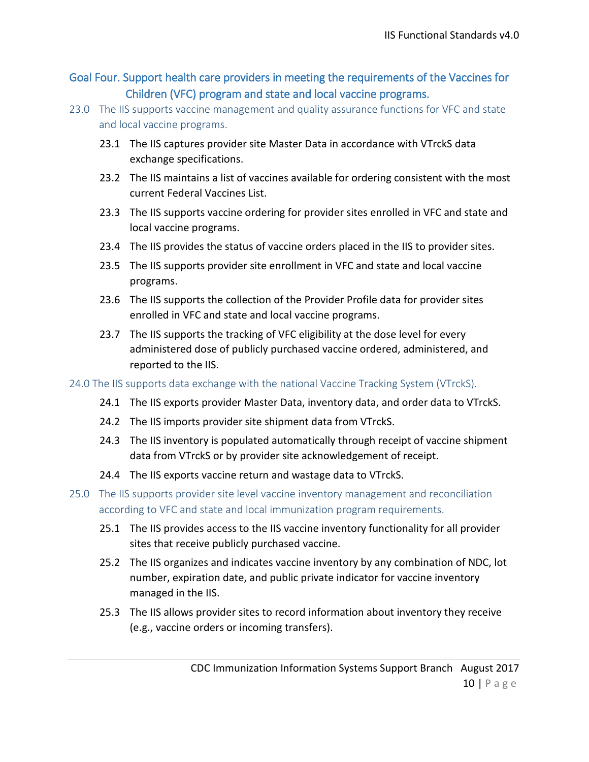Goal Four. Support health care providers in meeting the requirements of the Vaccines for Children (VFC) program and state and local vaccine programs.

- 23.0 The IIS supports vaccine management and quality assurance functions for VFC and state and local vaccine programs.
	- 23.1 The IIS captures provider site Master Data in accordance with VTrckS data exchange specifications.
	- 23.2 The IIS maintains a list of vaccines available for ordering consistent with the most current Federal Vaccines List.
	- 23.3 The IIS supports vaccine ordering for provider sites enrolled in VFC and state and local vaccine programs.
	- 23.4 The IIS provides the status of vaccine orders placed in the IIS to provider sites.
	- 23.5 The IIS supports provider site enrollment in VFC and state and local vaccine programs.
	- 23.6 The IIS supports the collection of the Provider Profile data for provider sites enrolled in VFC and state and local vaccine programs.
	- 23.7 The IIS supports the tracking of VFC eligibility at the dose level for every administered dose of publicly purchased vaccine ordered, administered, and reported to the IIS.
- 24.0 The IIS supports data exchange with the national Vaccine Tracking System (VTrckS).
	- 24.1 The IIS exports provider Master Data, inventory data, and order data to VTrckS.
	- 24.2 The IIS imports provider site shipment data from VTrckS.
	- 24.3 The IIS inventory is populated automatically through receipt of vaccine shipment data from VTrckS or by provider site acknowledgement of receipt.
	- 24.4 The IIS exports vaccine return and wastage data to VTrckS.
- 25.0 The IIS supports provider site level vaccine inventory management and reconciliation according to VFC and state and local immunization program requirements.
	- 25.1 The IIS provides access to the IIS vaccine inventory functionality for all provider sites that receive publicly purchased vaccine.
	- 25.2 The IIS organizes and indicates vaccine inventory by any combination of NDC, lot number, expiration date, and public private indicator for vaccine inventory managed in the IIS.
	- 25.3 The IIS allows provider sites to record information about inventory they receive (e.g., vaccine orders or incoming transfers).